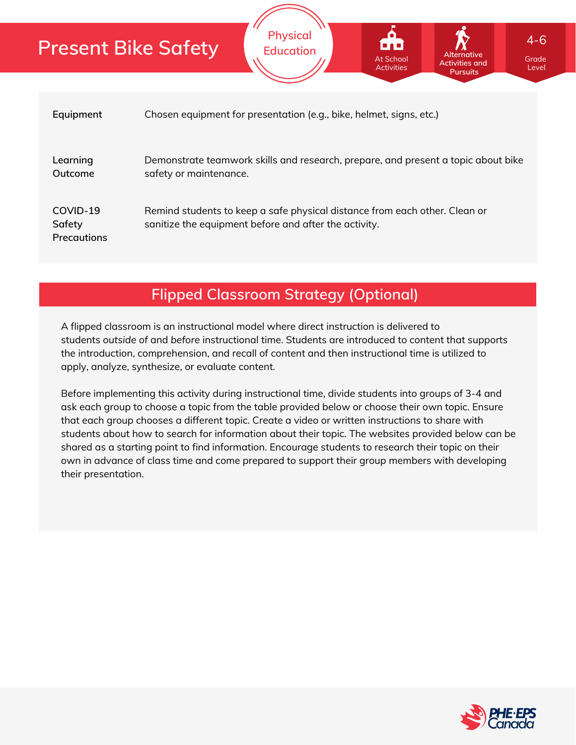|                                          | <b>Activities</b><br><b>Pursuits</b>                                                                                                |
|------------------------------------------|-------------------------------------------------------------------------------------------------------------------------------------|
| Equipment                                | Chosen equipment for presentation (e.g., bike, helmet, signs, etc.)                                                                 |
| Learning<br>Outcome                      | Demonstrate teamwork skills and research, prepare, and present a topic about bike<br>safety or maintenance.                         |
| COVID-19<br>Safety<br><b>Precautions</b> | Remind students to keep a safe physical distance from each other. Clean or<br>sanitize the equipment before and after the activity. |

**Physical Education**

## **Flipped Classroom Strategy (Optional)**

A flipped classroom is an instructional model where direct instruction is delivered to students *outside of* and *before* instructional time. Students are introduced to content that supports the introduction, comprehension, and recall of content and then instructional time is utilized to apply, analyze, synthesize, or evaluate content.

Before implementing this activity during instructional time, divide students into groups of 3-4 and ask each group to choose a topic from the table provided below or choose their own topic. Ensure that each group chooses a different topic. Create a video or written instructions to share with students about how to search for information about their topic. The websites provided below can be shared as a starting point to find information. Encourage students to research their topic on their own in advance of class time and come prepared to support their group members with developing their presentation.



Grade evel

**Alternative Activities and**

At School

4-6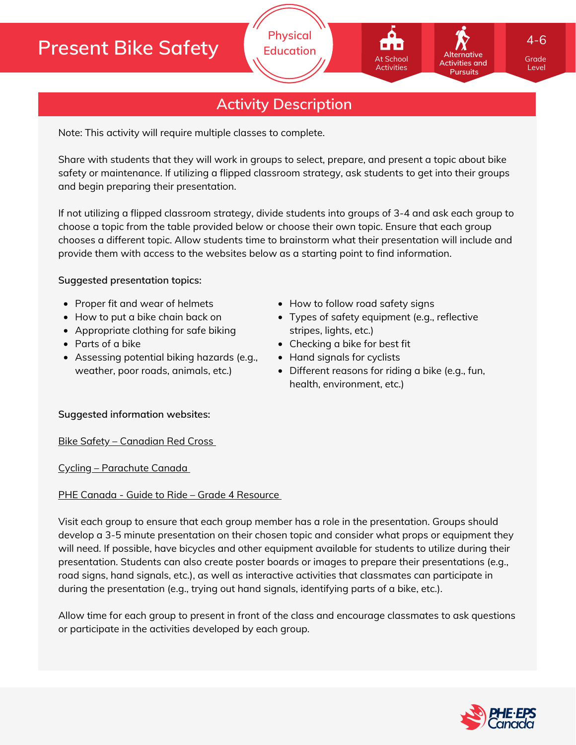## **Activity Description**

**Physical Education**

Note: This activity will require multiple classes to complete.

Share with students that they will work in groups to select, prepare, and present a topic about bike safety or maintenance. If utilizing a flipped classroom strategy, ask students to get into their groups and begin preparing their presentation.

If not utilizing a flipped classroom strategy, divide students into groups of 3-4 and ask each group to choose a topic from the table provided below or choose their own topic. Ensure that each group chooses a different topic. Allow students time to brainstorm what their presentation will include and provide them with access to the websites below as a starting point to find information.

#### **Suggested presentation topics:**

- Proper fit and wear of helmets
- How to put a bike chain back on
- Appropriate clothing for safe biking
- Parts of a bike
- Assessing potential biking hazards (e.g., weather, poor roads, animals, etc.)
- How to follow road safety signs
- Types of safety equipment (e.g., reflective stripes, lights, etc.)

At School Activities

- Checking a bike for best fit
- Hand signals for cyclists
- Different reasons for riding a bike (e.g., fun, health, environment, etc.)

#### **Suggested information websites:**

Bike Safety – [Canadian](https://www.redcross.ca/training-and-certification/first-aid-tips-and-resources/first-aid-tips/bike-safety) Red Cross

Cycling – [Parachute](https://parachute.ca/en/injury-topic/cycling/) Canada

#### PHE Canada - Guide to Ride - Grade 4 [Resource](https://phecanada.ca/programs/guide-ride)

Visit each group to ensure that each group member has a role in the presentation. Groups should develop a 3-5 minute presentation on their chosen topic and consider what props or equipment they will need. If possible, have bicycles and other equipment available for students to utilize during their presentation. Students can also create poster boards or images to prepare their presentations (e.g., road signs, hand signals, etc.), as well as interactive activities that classmates can participate in during the presentation (e.g., trying out hand signals, identifying parts of a bike, etc.).

Allow time for each group to present in front of the class and encourage classmates to ask questions or participate in the activities developed by each group.



Grade Level

**Alternative Activities and Pursuits**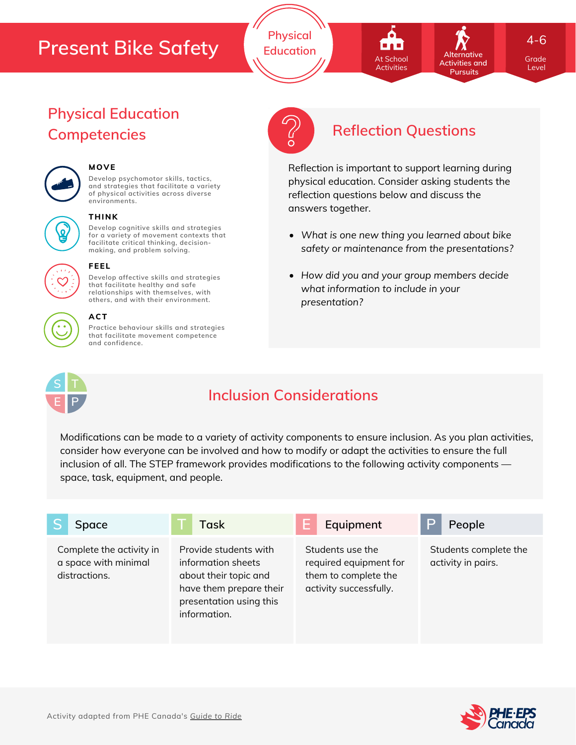**Physical Education**



**Pursuits** 

**Alternative**

4-6

Grade Grade Level Level

# **Physical Education**



## **MOVE**

**Develop psychomotor skills, tactics, and strategies that facilitate a variety of physical activities across diverse environments.**



#### **THINK**

**Develop cognitive skills and strategies for a variety of movement contexts that facilitate critical thinking, decision making, and problem solving.**



## **FEEL**

**Develop affective skills and strategies that facilitate healthy and safe relationships with themselves, with others, and with their environment.**

#### **ACT**

**Practice behaviour skills and strategies that facilitate movement competence and confidence.**



## **Competencies Reflection Questions**

Reflection is important to support learning during physical education. Consider asking students the reflection questions below and discuss the answers together.

- *What is one new thing you learned about bike safety or maintenance from the presentations?*
- *How did you and your group members decide what information to include in your presentation?*



## **Inclusion Considerations**

Modifications can be made to a variety of activity components to ensure inclusion. As you plan activities, consider how everyone can be involved and how to modify or adapt the activities to ensure the full inclusion of all. The STEP framework provides modifications to the following activity components space, task, equipment, and people.

| Space                                                             | Task                                                                                                                                       | Equipment                                                                                    | P<br>People                                 |
|-------------------------------------------------------------------|--------------------------------------------------------------------------------------------------------------------------------------------|----------------------------------------------------------------------------------------------|---------------------------------------------|
| Complete the activity in<br>a space with minimal<br>distractions. | Provide students with<br>information sheets<br>about their topic and<br>have them prepare their<br>presentation using this<br>information. | Students use the<br>required equipment for<br>them to complete the<br>activity successfully. | Students complete the<br>activity in pairs. |